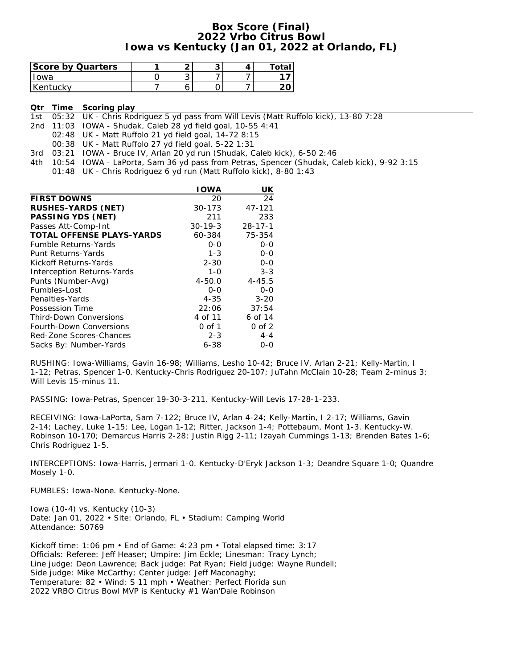### **Box Score (Final) 2022 Vrbo Citrus Bowl Iowa vs Kentucky (Jan 01, 2022 at Orlando, FL)**

| Score by Quarters |   | $\cdot$ | ⊤ota∟ |
|-------------------|---|---------|-------|
| owa               | ◡ |         |       |
| Kentucky          |   |         |       |

**Qtr Time Scoring play**

1st 05:32 UK - Chris Rodriguez 5 yd pass from Will Levis (Matt Ruffolo kick), 13-80 7:28

2nd 11:03 IOWA - Shudak, Caleb 28 yd field goal, 10-55 4:41

02:48 UK - Matt Ruffolo 21 yd field goal, 14-72 8:15

00:38 UK - Matt Ruffolo 27 yd field goal, 5-22 1:31

3rd 03:21 IOWA - Bruce IV, Arlan 20 yd run (Shudak, Caleb kick), 6-50 2:46

4th 10:54 IOWA - LaPorta, Sam 36 yd pass from Petras, Spencer (Shudak, Caleb kick), 9-92 3:15

01:48 UK - Chris Rodriguez 6 yd run (Matt Ruffolo kick), 8-80 1:43

|                                  | <b>IOWA</b>   | UK            |
|----------------------------------|---------------|---------------|
| <b>FIRST DOWNS</b>               | 20            | 24            |
| RUSHES-YARDS (NET)               | $30 - 173$    | 47-121        |
| PASSING YDS (NET)                | 211           | 233           |
| Passes Att-Comp-Int              | $30 - 19 - 3$ | $28 - 17 - 1$ |
| <b>TOTAL OFFENSE PLAYS-YARDS</b> | 60-384        | 75-354        |
| <b>Fumble Returns-Yards</b>      | $0 - 0$       | $0 - 0$       |
| Punt Returns-Yards               | $1 - 3$       | $0 - 0$       |
| Kickoff Returns-Yards            | $2 - 30$      | $0 - 0$       |
| Interception Returns-Yards       | $1 - 0$       | $3 - 3$       |
| Punts (Number-Avg)               | $4 - 50.0$    | $4 - 45.5$    |
| Fumbles-Lost                     | $O - O$       | $0 - 0$       |
| Penalties-Yards                  | $4 - 35$      | $3 - 20$      |
| Possession Time                  | 22:06         | 37:54         |
| Third-Down Conversions           | 4 of 11       | 6 of 14       |
| Fourth-Down Conversions          | 0 of 1        | $0$ of $2$    |
| Red-Zone Scores-Chances          | $2 - 3$       | $4 - 4$       |
| Sacks By: Number-Yards           | 6-38          | 0-0           |

RUSHING: Iowa-Williams, Gavin 16-98; Williams, Lesho 10-42; Bruce IV, Arlan 2-21; Kelly-Martin, I 1-12; Petras, Spencer 1-0. Kentucky-Chris Rodriguez 20-107; JuTahn McClain 10-28; Team 2-minus 3; Will Levis 15-minus 11.

PASSING: Iowa-Petras, Spencer 19-30-3-211. Kentucky-Will Levis 17-28-1-233.

RECEIVING: Iowa-LaPorta, Sam 7-122; Bruce IV, Arlan 4-24; Kelly-Martin, I 2-17; Williams, Gavin 2-14; Lachey, Luke 1-15; Lee, Logan 1-12; Ritter, Jackson 1-4; Pottebaum, Mont 1-3. Kentucky-W. Robinson 10-170; Demarcus Harris 2-28; Justin Rigg 2-11; Izayah Cummings 1-13; Brenden Bates 1-6; Chris Rodriguez 1-5.

INTERCEPTIONS: Iowa-Harris, Jermari 1-0. Kentucky-D'Eryk Jackson 1-3; Deandre Square 1-0; Quandre Mosely 1-0.

FUMBLES: Iowa-None. Kentucky-None.

Iowa (10-4) vs. Kentucky (10-3) Date: Jan 01, 2022 • Site: Orlando, FL • Stadium: Camping World Attendance: 50769

Kickoff time: 1:06 pm • End of Game: 4:23 pm • Total elapsed time: 3:17 Officials: Referee: Jeff Heaser; Umpire: Jim Eckle; Linesman: Tracy Lynch; Line judge: Deon Lawrence; Back judge: Pat Ryan; Field judge: Wayne Rundell; Side judge: Mike McCarthy; Center judge: Jeff Maconaghy; Temperature: 82 • Wind: S 11 mph • Weather: Perfect Florida sun 2022 VRBO Citrus Bowl MVP is Kentucky #1 Wan'Dale Robinson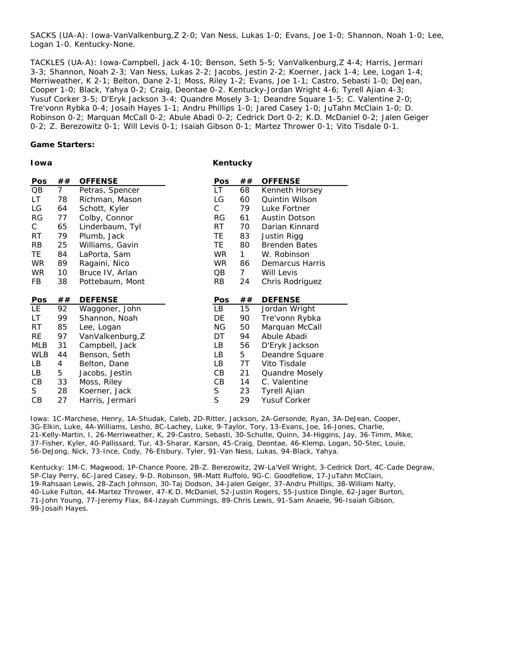SACKS (UA-A): Iowa-VanValkenburg,Z 2-0; Van Ness, Lukas 1-0; Evans, Joe 1-0; Shannon, Noah 1-0; Lee, Logan 1-0. Kentucky-None.

TACKLES (UA-A): Iowa-Campbell, Jack 4-10; Benson, Seth 5-5; VanValkenburg,Z 4-4; Harris, Jermari 3-3; Shannon, Noah 2-3; Van Ness, Lukas 2-2; Jacobs, Jestin 2-2; Koerner, Jack 1-4; Lee, Logan 1-4; Merriweather, K 2-1; Belton, Dane 2-1; Moss, Riley 1-2; Evans, Joe 1-1; Castro, Sebasti 1-0; DeJean, Cooper 1-0; Black, Yahya 0-2; Craig, Deontae 0-2. Kentucky-Jordan Wright 4-6; Tyrell Ajian 4-3; Yusuf Corker 3-5; D'Eryk Jackson 3-4; Quandre Mosely 3-1; Deandre Square 1-5; C. Valentine 2-0; Tre'vonn Rybka 0-4; Josaih Hayes 1-1; Andru Phillips 1-0; Jared Casey 1-0; JuTahn McClain 1-0; D. Robinson 0-2; Marquan McCall 0-2; Abule Abadi 0-2; Cedrick Dort 0-2; K.D. McDaniel 0-2; Jalen Geiger 0-2; Z. Berezowitz 0-1; Will Levis 0-1; Isaiah Gibson 0-1; Martez Thrower 0-1; Vito Tisdale 0-1.

**Game Starters:**

**Iowa**

**Kentucky**

| Pos        | ##             | <b>OFFENSE</b>   | <b>Pos</b> | ## | <b>OFFENSE</b>       |
|------------|----------------|------------------|------------|----|----------------------|
| QB         | $\overline{7}$ | Petras, Spencer  | LT.        | 68 | Kenneth Horsey       |
| LT.        | 78             | Richman, Mason   | LG         | 60 | Quintin Wilson       |
| LG         | 64             | Schott, Kyler    | C          | 79 | Luke Fortner         |
| RG         | 77             | Colby, Connor    | RG         | 61 | Austin Dotson        |
| C          | 65             | Linderbaum, Tyl  | RT         | 70 | Darian Kinnard       |
| RT         | 79             | Plumb, Jack      | TE         | 83 | Justin Rigg          |
| RB         | 25             | Williams, Gavin  | TE.        | 80 | <b>Brenden Bates</b> |
| TE.        | 84             | LaPorta, Sam     | WR         | 1  | W. Robinson          |
| WR.        | 89             | Ragaini, Nico    | WR.        | 86 | Demarcus Harris      |
| WR         | 10             | Bruce IV, Arlan  | QB         | 7  | Will Levis           |
| FB         | 38             | Pottebaum, Mont  | <b>RB</b>  | 24 | Chris Rodriguez      |
|            |                |                  |            |    |                      |
|            |                |                  |            |    |                      |
| Pos        | ##             | <b>DEFENSE</b>   | Pos        | ## | <b>DEFENSE</b>       |
| LE.        | 92             | Waggoner, John   | LB         | 15 | Jordan Wright        |
| LT         | 99             | Shannon, Noah    | DE         | 90 | Tre'vonn Rybka       |
| RT         | 85             | Lee, Logan       | ΝG         | 50 | Marquan McCall       |
| RE         | 97             | VanValkenburg, Z | DT         | 94 | Abule Abadi          |
| MLB        | 31             | Campbell, Jack   | LB.        | 56 | D'Eryk Jackson       |
| <b>WLB</b> | 44             | Benson, Seth     | LВ         | 5  | Deandre Square       |
| LВ         | 4              | Belton, Dane     | LB.        | 7T | Vito Tisdale         |
| LВ         | 5              | Jacobs, Jestin   | CВ         | 21 | Quandre Mosely       |
| CВ         | 33             | Moss, Riley      | CВ         | 14 | C. Valentine         |
| S.         | 28             | Koerner, Jack    | S<br>S     | 23 | Tyrell Ajian         |

Iowa: 1C-Marchese, Henry, 1A-Shudak, Caleb, 2D-Ritter, Jackson, 2A-Gersonde, Ryan, 3A-DeJean, Cooper, 3G-Elkin, Luke, 4A-Williams, Lesho, 8C-Lachey, Luke, 9-Taylor, Tory, 13-Evans, Joe, 16-Jones, Charlie, 21-Kelly-Martin, I, 26-Merriweather, K, 29-Castro, Sebasti, 30-Schulte, Quinn, 34-Higgins, Jay, 36-Timm, Mike, 37-Fisher, Kyler, 40-Pallissard, Tur, 43-Sharar, Karson, 45-Craig, Deontae, 46-Klemp, Logan, 50-Stec, Louie, 56-DeJong, Nick, 73-Ince, Cody, 76-Elsbury, Tyler, 91-Van Ness, Lukas, 94-Black, Yahya.

Kentucky: 1M-C. Magwood, 1P-Chance Poore, 2B-Z. Berezowitz, 2W-La'Vell Wright, 3-Cedrick Dort, 4C-Cade Degraw, 5P-Clay Perry, 6C-Jared Casey, 9-D. Robinson, 9R-Matt Ruffolo, 9G-C. Goodfellow, 17-JuTahn McClain, 19-Rahsaan Lewis, 28-Zach Johnson, 30-Taj Dodson, 34-Jalen Geiger, 37-Andru Phillips, 38-William Nalty, 40-Luke Fulton, 44-Martez Thrower, 47-K.D. McDaniel, 52-Justin Rogers, 55-Justice Dingle, 62-Jager Burton, 71-John Young, 77-Jeremy Flax, 84-Izayah Cummings, 89-Chris Lewis, 91-Sam Anaele, 96-Isaiah Gibson, 99-Josaih Hayes.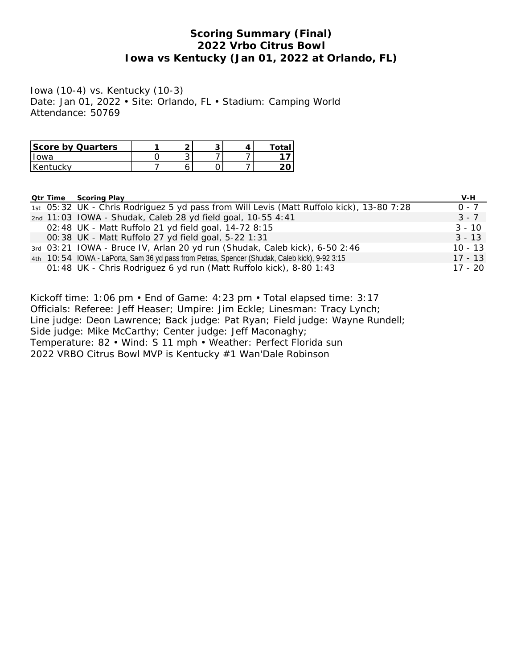### **Scoring Summary (Final) 2022 Vrbo Citrus Bowl Iowa vs Kentucky (Jan 01, 2022 at Orlando, FL)**

Iowa (10-4) vs. Kentucky (10-3) Date: Jan 01, 2022 • Site: Orlando, FL • Stadium: Camping World Attendance: 50769

| Score by Quarters |   |  |  |
|-------------------|---|--|--|
| Iowa              | ັ |  |  |
| l Kentuckv        |   |  |  |

**Qtr Time Scoring Play V-H**

| <u>Cu illilo Journalitay</u> | $v - 1$                                                                                                                                                                                                                                                                                                                                                                                                                                                                                                                     |
|------------------------------|-----------------------------------------------------------------------------------------------------------------------------------------------------------------------------------------------------------------------------------------------------------------------------------------------------------------------------------------------------------------------------------------------------------------------------------------------------------------------------------------------------------------------------|
|                              | $0 - 7$                                                                                                                                                                                                                                                                                                                                                                                                                                                                                                                     |
|                              | $3 - 7$                                                                                                                                                                                                                                                                                                                                                                                                                                                                                                                     |
|                              | $3 - 10$                                                                                                                                                                                                                                                                                                                                                                                                                                                                                                                    |
|                              | $3 - 13$                                                                                                                                                                                                                                                                                                                                                                                                                                                                                                                    |
|                              | $10 - 13$                                                                                                                                                                                                                                                                                                                                                                                                                                                                                                                   |
|                              | $17 - 13$                                                                                                                                                                                                                                                                                                                                                                                                                                                                                                                   |
|                              | $17 - 20$                                                                                                                                                                                                                                                                                                                                                                                                                                                                                                                   |
|                              | 1st 05:32 UK - Chris Rodriguez 5 yd pass from Will Levis (Matt Ruffolo kick), 13-80 7:28<br>2nd 11:03 IOWA - Shudak, Caleb 28 yd field goal, 10-55 4:41<br>02:48 UK - Matt Ruffolo 21 yd field goal, 14-72 8:15<br>00:38 UK - Matt Ruffolo 27 yd field goal, 5-22 1:31<br>3rd 03:21 IOWA - Bruce IV, Arlan 20 yd run (Shudak, Caleb kick), 6-50 2:46<br>4th 10:54 IOWA - LaPorta, Sam 36 yd pass from Petras, Spencer (Shudak, Caleb kick), 9-92 3:15<br>01:48 UK - Chris Rodriguez 6 yd run (Matt Ruffolo kick), 8-80 1:43 |

Kickoff time: 1:06 pm • End of Game: 4:23 pm • Total elapsed time: 3:17 Officials: Referee: Jeff Heaser; Umpire: Jim Eckle; Linesman: Tracy Lynch; Line judge: Deon Lawrence; Back judge: Pat Ryan; Field judge: Wayne Rundell; Side judge: Mike McCarthy; Center judge: Jeff Maconaghy; Temperature: 82 • Wind: S 11 mph • Weather: Perfect Florida sun 2022 VRBO Citrus Bowl MVP is Kentucky #1 Wan'Dale Robinson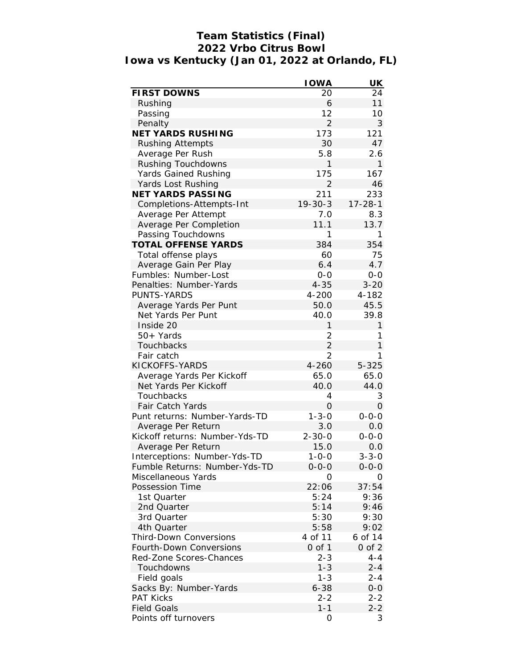# **Team Statistics (Final) 2022 Vrbo Citrus Bowl Iowa vs Kentucky (Jan 01, 2022 at Orlando, FL)**

|                                | <b>IOWA</b>    | UK            |
|--------------------------------|----------------|---------------|
| FIRST DOWNS                    | 20             | 24            |
| Rushing                        | 6              | 11            |
| Passing                        | 12             | 10            |
| Penalty                        | $\overline{2}$ | 3             |
| NET YARDS RUSHING              | 173            | 121           |
| <b>Rushing Attempts</b>        | 30             | 47            |
| Average Per Rush               | 5.8            | 2.6           |
| Rushing Touchdowns             | 1              | 1             |
| Yards Gained Rushing           | 175            | 167           |
| Yards Lost Rushing             | $\overline{2}$ | 46            |
| NET YARDS PASSING              | 211            | 233           |
| Completions-Attempts-Int       | $19 - 30 - 3$  | $17 - 28 - 1$ |
| Average Per Attempt            | 7.0            | 8.3           |
| Average Per Completion         | 11.1           | 13.7          |
| Passing Touchdowns             | 1              | 1             |
| TOTAL OFFENSE YARDS            | 384            | 354           |
| Total offense plays            | 60             | 75            |
| Average Gain Per Play          | 6.4            | 4.7           |
| Fumbles: Number-Lost           | $0 - 0$        | $0-0$         |
| Penalties: Number-Yards        | $4 - 35$       | $3 - 20$      |
| PUNTS-YARDS                    | 4-200          | 4-182         |
| Average Yards Per Punt         | 50.0           | 45.5          |
| Net Yards Per Punt             | 40.0           | 39.8          |
| Inside 20                      | 1              | $\mathbf{1}$  |
| $50+$ Yards                    | 2              | 1             |
| Touchbacks                     | $\overline{2}$ | $\mathbf{1}$  |
| Fair catch                     | 2              | 1             |
| KICKOFFS-YARDS                 | 4-260          | $5 - 325$     |
| Average Yards Per Kickoff      | 65.0           | 65.0          |
| Net Yards Per Kickoff          | 40.0           | 44.0          |
| Touchbacks                     | 4              | 3             |
| Fair Catch Yards               | 0              | 0             |
| Punt returns: Number-Yards-TD  | $1 - 3 - 0$    | $0 - 0 - 0$   |
| Average Per Return             | 3.0            | 0.0           |
| Kickoff returns: Number-Yds-TD | $2 - 30 - 0$   | $0 - 0 - 0$   |
| Average Per Return             | 15.0           | 0.0           |
| Interceptions: Number-Yds-TD   | 1-0-0          | $3 - 3 - 0$   |
| Fumble Returns: Number-Yds-TD  | $0 - 0 - 0$    | $0 - 0 - 0$   |
| Miscellaneous Yards            | O              | Ο             |
| Possession Time                | 22:06          | 37:54         |
| 1st Quarter                    | 5:24           | 9:36          |
| 2nd Quarter                    | 5:14           | 9:46          |
|                                | 5:30           |               |
| 3rd Quarter                    |                | 9:30          |
| 4th Quarter                    | 5:58           | 9:02          |
| Third-Down Conversions         | 4 of 11        | 6 of 14       |
| Fourth-Down Conversions        | $0$ of $1$     | $0$ of $2$    |
| Red-Zone Scores-Chances        | $2 - 3$        | 4-4           |
| Touchdowns                     | $1 - 3$        | $2 - 4$       |
| Field goals                    | $1 - 3$        | $2 - 4$       |
| Sacks By: Number-Yards         | $6 - 38$       | $0-0$         |
| <b>PAT Kicks</b>               | $2 - 2$        | $2 - 2$       |
| <b>Field Goals</b>             | $1 - 1$        | $2 - 2$       |
| Points off turnovers           | 0              | 3             |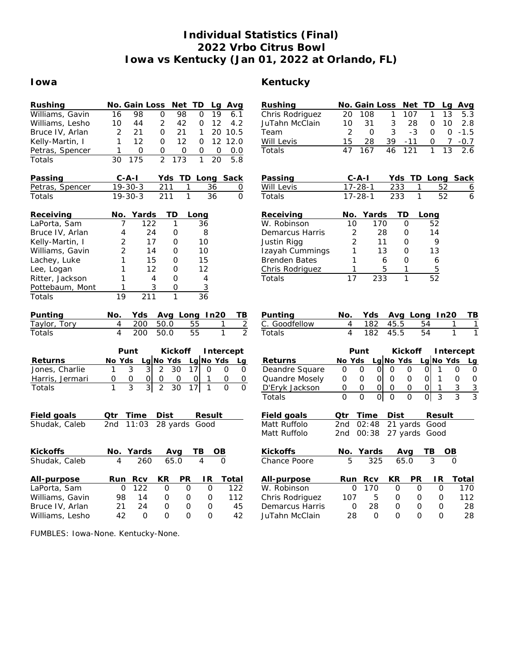# **Individual Statistics (Final) 2022 Vrbo Citrus Bowl Iowa vs Kentucky (Jan 01, 2022 at Orlando, FL)**

### **Iowa Kentucky**

| Rushing         | Net TD<br>No. Gain Loss<br>Lg<br>Avg                                                                                            | Rushing              | No. Gain Loss                                  | Net TD                           | Lg                       | <u>Avg</u>                         |
|-----------------|---------------------------------------------------------------------------------------------------------------------------------|----------------------|------------------------------------------------|----------------------------------|--------------------------|------------------------------------|
| Williams, Gavin | 98<br>$\overline{0}$<br>98<br>19<br>16<br>0<br>6.1                                                                              | Chris Rodriguez      | 20<br>108                                      | 107<br>1                         | 13<br>1                  | 5.3                                |
| Williams, Lesho | $\overline{2}$<br>12<br>10<br>44<br>42<br>4.2<br>0                                                                              | JuTahn McClain       | 10<br>31                                       | 3<br>28                          | 10<br>0                  | 2.8                                |
| Bruce IV, Arlan | 2<br>21<br>0<br>21<br>1<br>20 10.5                                                                                              | Team                 | $\overline{2}$<br>$\Omega$                     | 3<br>$-3$                        | $\Omega$                 | $\Omega$<br>$-1.5$                 |
| Kelly-Martin, I | $\mathbf{1}$<br>12<br>$\Omega$<br>12<br>$\Omega$<br>12 12.0                                                                     | Will Levis           | 15<br>28                                       | 39<br>$-11$                      | 0                        | $\overline{7}$<br>$-0.7$           |
| Petras, Spencer | $\overline{O}$<br>0.0<br>1<br>0<br>$\mathbf 0$<br>0<br>0                                                                        | Totals               | 47<br>167                                      | 46<br>121                        | 1<br>13                  | 2.6                                |
| Totals          | $\overline{2}$<br>175<br>173<br>5.8<br>30<br>1<br>20                                                                            |                      |                                                |                                  |                          |                                    |
| Passing         | $C$ -A-I<br>Yds TD Long Sack                                                                                                    | Passing              | C-A-I                                          | Yds TD Long Sack                 |                          |                                    |
| Petras, Spencer | $19 - 30 - 3$<br>211<br>36<br>1<br>0                                                                                            | Will Levis           | $17 - 28 - 1$                                  | 233                              | 52<br>1                  | 6                                  |
| Totals          | $\overline{211}$<br>$\mathbf{1}$<br>$\overline{36}$<br>$\overline{0}$<br>$19 - 30 - 3$                                          | Totals               | $17 - 28 - 1$                                  | 233                              | $\mathbf{1}$<br>52       | 6                                  |
|                 |                                                                                                                                 |                      |                                                |                                  |                          |                                    |
| Receiving       | Yards<br>TD<br>No.<br>Long                                                                                                      | Receiving            | Yards<br>No.                                   | ТD                               | Long                     |                                    |
| LaPorta, Sam    | 122<br>36<br>7<br>1                                                                                                             | W. Robinson          | 170<br>10                                      | $\mathbf{O}$                     | 52                       |                                    |
| Bruce IV, Arlan | 24<br>8<br>4<br>0                                                                                                               | Demarcus Harris      | 28<br>2                                        | 0                                | 14                       |                                    |
| Kelly-Martin, I | $\overline{2}$<br>17<br>$\circ$<br>10                                                                                           | Justin Rigg          | $\overline{2}$<br>11                           | $\mathbf 0$                      | 9                        |                                    |
| Williams, Gavin | 2<br>14<br>10<br>0                                                                                                              | Izayah Cummings      | 1<br>13                                        | $\mathbf 0$                      | 13                       |                                    |
| Lachey, Luke    | 1<br>15<br>15<br>$\circ$                                                                                                        | <b>Brenden Bates</b> | 1                                              | 6<br>$\mathbf 0$                 | 6                        |                                    |
| Lee, Logan      | 1<br>12<br>12<br>0                                                                                                              | Chris Rodriguez      | 1                                              | 5<br>1                           | 5                        |                                    |
| Ritter, Jackson | 1<br>$\circ$<br>4<br>4                                                                                                          | Totals               | 17<br>233                                      | $\mathbf{1}$                     | $\overline{52}$          |                                    |
| Pottebaum, Mont | 3<br>$\overline{3}$<br>$\mathbf{1}$<br>$\Omega$                                                                                 |                      |                                                |                                  |                          |                                    |
| Totals          | $\overline{19}$<br>$\mathbf{1}$<br>211<br>36                                                                                    |                      |                                                |                                  |                          |                                    |
| Punting         | Avg Long In20<br>No.<br>Yds<br>TВ                                                                                               | Punting              | Yds<br>No.                                     | Avg Long                         | In20                     | TB                                 |
| Taylor, Tory    | $\overline{2}$<br>4<br>200<br>50.0<br>55<br>1                                                                                   | Goodfellow<br>С.     | 4<br>182                                       | 45.5                             | 54                       | 1<br>1                             |
| Totals          | $\overline{2}$<br>4<br>55<br>$\mathbf{1}$<br>200<br>50.0                                                                        | Totals               | $\overline{4}$<br>182                          | 45.5                             | 54                       | $\mathbf{1}$<br>1                  |
|                 | Punt<br>Kickoff<br>Intercept                                                                                                    |                      | Punt                                           | Kickoff                          |                          | Intercept                          |
| Returns         | Lg No Yds Lg No Yds<br>No Yds<br>Lg                                                                                             | Returns              | No Yds                                         | Lg $No$ Yds                      | Lg No Yds                |                                    |
| Jones, Charlie  | 3<br>3<br>$\overline{2}$<br>30<br>17<br>1<br>$\Omega$<br>0<br>0                                                                 | Deandre Square       | O<br>$\mathbf{O}$<br>$\circ$                   | $\circ$<br>0                     | 1<br>0                   | Lg<br>0<br>0                       |
| Harris, Jermari | $\mathsf O$<br>$\mathbf{O}$<br>$\mathsf O$<br>0<br>$\mathsf O$<br>0<br>$\circ$<br>$\circ$                                       | Quandre Mosely       | $\mathsf{O}\xspace$<br>$\mathbf 0$<br>$\Omega$ | $\mathbf{O}$<br>$\mathbf 0$      | $\Omega$<br>$\mathbf{1}$ | $\mathbf 0$<br>$\mathsf{O}\xspace$ |
| Totals          | $\overline{3}$<br>$\overline{3}$<br>$\overline{2}$<br>$\overline{30}$<br>17<br>$\mathbf{1}$<br>$\overline{O}$<br>$\overline{O}$ | D'Eryk Jackson       | 0<br>0<br>$\overline{O}$                       | $\mathbf 0$<br>$\mathbf{O}$      | $\Omega$<br>1            | 3<br>$\mathbf{3}$                  |
|                 |                                                                                                                                 | Totals               | $\overline{0}$<br>$\Omega$<br>$\Omega$         | $\overline{0}$<br>$\overline{O}$ | $\overline{0}$<br>3      | 3<br>$\overline{3}$                |
| Field goals     | Dist<br>Time<br>Result<br>Qtr                                                                                                   | Field goals          | Time<br>Qtr                                    | Dist                             | Result                   |                                    |
| Shudak, Caleb   | 11:03<br>28 yards<br>Good<br>2nd                                                                                                | Matt Ruffolo         | 2nd<br>02:48                                   | 21 yards                         | Good                     |                                    |
|                 |                                                                                                                                 | Matt Ruffolo         | 00:38<br>2nd                                   | 27 yards Good                    |                          |                                    |
|                 |                                                                                                                                 |                      |                                                |                                  |                          |                                    |
| Kickoffs        | Yards<br>TB<br>No.<br>OВ<br>Avg                                                                                                 | Kickoffs             | No.<br>Yards                                   | Avg                              | TB                       | $\overline{OB}$                    |
| Shudak, Caleb   | 4<br>$\overline{4}$<br>260<br>65.0<br>$\Omega$                                                                                  | Chance Poore         | 5<br>325                                       | 65.0                             | $\overline{3}$           | $\Omega$                           |
| All-purpose     | PR<br>Rcv<br>KR<br>IR.<br>Total<br>Run                                                                                          | All-purpose          | Rcv<br>Run                                     | PR<br>KR                         | IR.                      | Total                              |
| LaPorta, Sam    | 122<br>122<br>$\circ$<br>$\mathbf 0$<br>$\circ$<br>$\circ$                                                                      | W. Robinson          | O<br>170                                       | $\mathbf 0$                      | $\Omega$<br>0            | 170                                |
| Williams, Gavin | 112<br>98<br>14<br>O<br>0<br>0                                                                                                  | Chris Rodriguez      | 107<br>5                                       | 0                                | 0<br>0                   | 112                                |
| Bruce IV, Arlan | 21<br>24<br>$\Omega$<br>$\mathbf{O}$<br>45<br>0                                                                                 | Demarcus Harris      | 28<br>0                                        | $\Omega$                         | $\Omega$<br>$\Omega$     | 28                                 |
| Williams, Lesho | 42<br>$\Omega$<br>$\Omega$<br>$\Omega$<br>$\Omega$<br>42                                                                        | JuTahn McClain       | 28<br>$\circ$                                  | $\Omega$                         | $\Omega$<br>$\Omega$     | 28                                 |

FUMBLES: Iowa-None. Kentucky-None.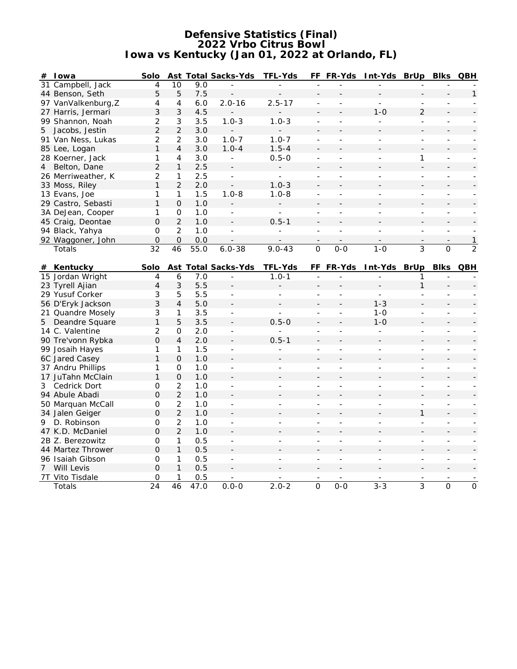### **Defensive Statistics (Final) 2022 Vrbo Citrus Bowl Iowa vs Kentucky (Jan 01, 2022 at Orlando, FL)**

| # | l owa               | Solo           |                     |      | Ast Total Sacks-Yds      | TFL-Yds                  |                          | FF FR-Yds                | Int-Yds BrUp             |                          | <b>Blks</b>              | <b>QBH</b>     |
|---|---------------------|----------------|---------------------|------|--------------------------|--------------------------|--------------------------|--------------------------|--------------------------|--------------------------|--------------------------|----------------|
|   | 31 Campbell, Jack   | $\overline{4}$ | 10                  | 9.0  |                          | $\overline{a}$           | $\overline{a}$           |                          |                          |                          |                          |                |
|   | 44 Benson, Seth     | 5              | 5                   | 7.5  |                          |                          | L,                       |                          |                          |                          |                          | $\mathbf{1}$   |
|   | 97 VanValkenburg, Z | 4              | $\overline{4}$      | 6.0  | $2.0 - 16$               | $2.5 - 17$               | ÷,                       |                          |                          | $\overline{\phantom{a}}$ |                          |                |
|   | 27 Harris, Jermari  | 3              | 3                   | 4.5  |                          |                          | $\overline{\phantom{a}}$ |                          | $1 - 0$                  | $\overline{2}$           |                          |                |
|   | 99 Shannon, Noah    | $\overline{c}$ | 3                   | 3.5  | $1.0 - 3$                | $1.0 - 3$                | $\overline{\phantom{a}}$ |                          |                          | ÷,                       |                          |                |
| 5 | Jacobs, Jestin      | $\overline{2}$ | $\overline{2}$      | 3.0  |                          |                          | $\overline{\phantom{a}}$ |                          |                          |                          |                          |                |
|   | 91 Van Ness, Lukas  | $\overline{2}$ | 2                   | 3.0  | $1.0 - 7$                | $1.0 - 7$                | ÷,                       | $\overline{a}$           | $\overline{\phantom{0}}$ | ÷,                       | $\overline{\phantom{a}}$ |                |
|   | 85 Lee, Logan       | $\mathbf{1}$   | $\overline{4}$      | 3.0  | $1.0 - 4$                | $1.5 - 4$                |                          |                          |                          |                          |                          |                |
|   | 28 Koerner, Jack    | 1              | 4                   | 3.0  | $\equiv$                 | $0.5 - 0$                | ÷,                       | $\overline{\phantom{a}}$ | L.                       | 1                        | ÷,                       |                |
| 4 | Belton, Dane        | $\overline{2}$ | $\mathbf{1}$        | 2.5  |                          |                          |                          |                          |                          |                          |                          |                |
|   | 26 Merriweather, K  | $\overline{2}$ | 1                   | 2.5  | $\frac{1}{2}$            | ÷,                       | $\overline{\phantom{a}}$ | $\overline{a}$           |                          | ÷,                       |                          |                |
|   | 33 Moss, Riley      | $\mathbf{1}$   | $\overline{2}$      | 2.0  |                          | $1.0 - 3$                |                          |                          |                          |                          |                          |                |
|   | 13 Evans, Joe       | 1              | 1                   | 1.5  | $1.0 - 8$                | $1.0 - 8$                | ÷,                       | L                        | L.                       | ÷,                       | ÷.                       |                |
|   | 29 Castro, Sebasti  | $\mathbf{1}$   | $\mathcal{O}$       | 1.0  |                          |                          | $\overline{a}$           |                          |                          |                          |                          |                |
|   | 3A DeJean, Cooper   | 1              | 0                   | 1.0  | $\overline{\phantom{a}}$ | $\overline{\phantom{a}}$ | $\overline{\phantom{a}}$ | $\overline{\phantom{a}}$ | $\overline{\phantom{0}}$ | ÷,                       | $\overline{\phantom{a}}$ |                |
|   | 45 Craig, Deontae   | $\overline{O}$ | $\overline{2}$      | 1.0  | $\blacksquare$           | $0.5 - 1$                |                          |                          |                          |                          |                          |                |
|   | 94 Black, Yahya     | $\overline{O}$ | $\overline{2}$      | 1.0  | $\overline{a}$           | $\Box$                   | ÷,                       | $\overline{\phantom{a}}$ | $\overline{a}$           | ÷,                       | $\overline{\phantom{a}}$ |                |
|   | 92 Waggoner, John   | $\mathbf 0$    | $\mathsf{O}\xspace$ | 0.0  |                          |                          |                          |                          |                          |                          |                          | $\mathbf{1}$   |
|   | Totals              | 32             | 46                  | 55.0 | $6.0 - 38$               | $9.0 - 43$               | $\overline{0}$           | $0-0$                    | $1 - 0$                  | 3                        | $\overline{O}$           | $\overline{2}$ |
|   |                     |                |                     |      |                          |                          |                          |                          |                          |                          |                          |                |
| # | Kentucky            | Solo           |                     |      | Ast Total Sacks-Yds      | TFL-Yds                  |                          | FF FR-Yds                | Int-Yds BrUp             |                          | <b>Blks</b>              | QBH            |
|   | 15 Jordan Wright    | $\overline{4}$ | 6                   | 7.0  | ÷.                       | $1.0 - 1$                |                          |                          | L.                       | 1                        |                          |                |
|   | 23 Tyrell Ajian     | $\overline{4}$ | 3                   | 5.5  |                          |                          |                          |                          |                          | $\mathbf{1}$             |                          |                |
|   | 29 Yusuf Corker     | 3              | 5                   | 5.5  | $\bar{a}$                |                          | $\overline{\phantom{a}}$ | L                        |                          | $\overline{a}$           |                          |                |
|   | 56 D'Eryk Jackson   | 3              | $\overline{4}$      | 5.0  |                          |                          | $\frac{1}{2}$            |                          | $1 - 3$                  |                          |                          |                |
|   | 21 Quandre Mosely   | 3              | 1                   | 3.5  | $\blacksquare$           | $\overline{\phantom{a}}$ | $\overline{\phantom{a}}$ | $\bar{a}$                | $1 - 0$                  | $\sim$                   | $\overline{a}$           |                |
|   | 5 Deandre Square    | $\mathbf{1}$   | 5                   | 3.5  | $\overline{\phantom{a}}$ | $0.5 - 0$                |                          |                          | $1 - 0$                  |                          |                          |                |
|   | 14 C. Valentine     | $\overline{2}$ | 0                   | 2.0  | $\overline{\phantom{a}}$ | $\overline{a}$           | $\overline{\phantom{a}}$ |                          | $\bar{\phantom{a}}$      | ÷,                       | $\overline{\phantom{a}}$ |                |
|   | 90 Tre'vonn Rybka   | $\overline{O}$ | $\overline{4}$      | 2.0  |                          | $0.5 - 1$                |                          |                          |                          |                          |                          |                |
|   | 99 Josaih Hayes     | 1              | 1                   | 1.5  |                          |                          |                          |                          |                          |                          |                          |                |
|   | 6C Jared Casey      | 1              | $\mathbf 0$         | 1.0  |                          |                          |                          |                          |                          |                          |                          |                |
|   | 37 Andru Phillips   | 1              | $\mathsf{O}\xspace$ | 1.0  | $\overline{\phantom{a}}$ | ÷                        |                          |                          |                          | $\overline{\phantom{a}}$ | $\overline{\phantom{a}}$ |                |
|   | 17 JuTahn McClain   | $\mathbf{1}$   | $\mathbf 0$         | 1.0  | $\overline{\phantom{a}}$ |                          |                          |                          |                          |                          |                          |                |
|   | 3 Cedrick Dort      | 0              | $\overline{2}$      | 1.0  | $\overline{\phantom{a}}$ | $\overline{a}$           | $\overline{\phantom{a}}$ |                          | L,                       | ÷,                       | ÷                        |                |
|   | 94 Abule Abadi      | $\overline{O}$ | $\overline{2}$      | 1.0  |                          |                          |                          |                          |                          |                          |                          |                |
|   | 50 Marquan McCall   | 0              | $\overline{2}$      | 1.0  | $\equiv$                 | $\overline{\phantom{0}}$ | $\overline{\phantom{a}}$ | $\bar{a}$                | $\overline{a}$           | $\equiv$                 | $\blacksquare$           | $\blacksquare$ |
|   | 34 Jalen Geiger     | $\overline{O}$ | $\overline{2}$      | 1.0  |                          |                          |                          |                          |                          | $\mathbf{1}$             |                          |                |
| 9 | D. Robinson         | 0              | $\overline{2}$      | 1.0  | $\bar{a}$                |                          |                          |                          |                          | $\overline{a}$           |                          |                |
|   | 47 K.D. McDaniel    | $\mathsf O$    | $\overline{2}$      | 1.0  |                          |                          |                          |                          |                          |                          |                          |                |
|   | 2B Z. Berezowitz    | 0              | 1                   | 0.5  |                          |                          |                          |                          |                          |                          | $\overline{a}$           |                |
|   | 44 Martez Thrower   | $\mathsf O$    | $\mathbf{1}$        | 0.5  |                          |                          |                          |                          |                          |                          |                          |                |
|   | 96 Isaiah Gibson    | $\mathsf O$    | 1                   | 0.5  | $\overline{\phantom{a}}$ | ÷                        | $\overline{\phantom{a}}$ | $\overline{a}$           | L,                       | $\overline{\phantom{0}}$ | $\sim$                   |                |
|   | 7 Will Levis        | $\overline{O}$ | $\mathbf{1}$        | 0.5  |                          |                          |                          |                          |                          |                          |                          |                |
|   | 7T Vito Tisdale     | 0              | 1                   | 0.5  |                          |                          |                          |                          |                          |                          |                          |                |
|   | Totals              | 24             | 46                  | 47.0 | $0.0 - 0$                | $2.0 - 2$                | $\overline{O}$           | $0-0$                    | $3 - 3$                  | 3                        | $\overline{O}$           | $\overline{O}$ |
|   |                     |                |                     |      |                          |                          |                          |                          |                          |                          |                          |                |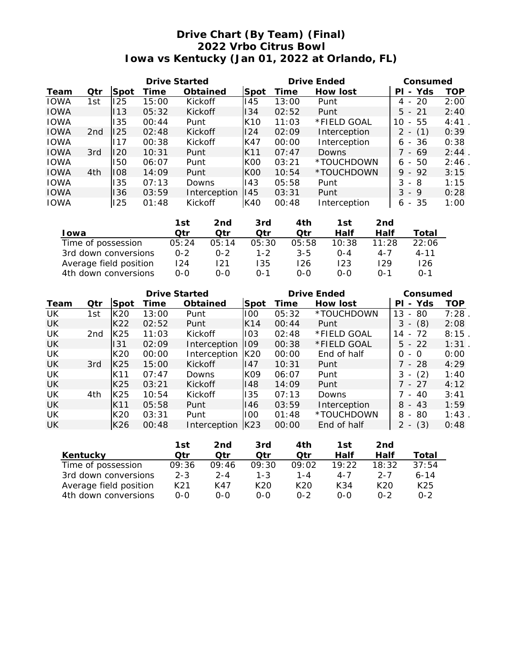## **Drive Chart (By Team) (Final) 2022 Vrbo Citrus Bowl Iowa vs Kentucky (Jan 01, 2022 at Orlando, FL)**

| <b>Drive Started</b> |                 |      |       |                      |                 | Drive Ended |                     |                             | Consumed   |  |
|----------------------|-----------------|------|-------|----------------------|-----------------|-------------|---------------------|-----------------------------|------------|--|
| Team                 | Otr             | Spot | Time  | Obtained             | Spot            | Time        | How lost            | - Yds<br>ΡI                 | <b>TOP</b> |  |
| <b>IOWA</b>          | 1st             | 125  | 15:00 | Kickoff              | 145             | 13:00       | Punt                | -20<br>4<br>$\overline{a}$  | 2:00       |  |
| <b>IOWA</b>          |                 | 113  | 05:32 | Kickoff              | 134             | 02:52       | Punt                | $5 - 21$                    | 2:40       |  |
| <b>IOWA</b>          |                 | 35   | 00:44 | Punt                 | K <sub>10</sub> | 11:03       | *FIELD GOAL         | - 55<br>10                  | 4:41       |  |
| <b>IOWA</b>          | 2 <sub>nd</sub> | 125  | 02:48 | <b>Kickoff</b>       | 124             | 02:09       | Interception        | (1)<br>2<br>$\overline{a}$  | 0:39       |  |
| <b>IOWA</b>          |                 | 17   | 00:38 | Kickoff              | K47             | 00:00       | Interception        | 6 - 36                      | 0:38       |  |
| <b>IOWA</b>          | 3rd             | 120  | 10:31 | Punt                 | K11             | 07:47       | Downs               | 7 - 69                      | 2:44       |  |
| <b>IOWA</b>          |                 | 50   | 06:07 | Punt                 | K <sub>00</sub> | 03:21       | *TOUCHDOWN          | -50<br>6.<br>$\overline{a}$ | 2:46       |  |
| <b>IOWA</b>          | 4th             | 108  | 14:09 | Punt                 | K <sub>00</sub> | 10:54       | *TOUCHDOWN          | $9 - 92$                    | 3:15       |  |
| <b>IOWA</b>          |                 | 35   | 07:13 | Downs                | 143             | 05:58       | Punt                | 3<br>- 8                    | 1:15       |  |
| <b>IOWA</b>          |                 | 136  | 03:59 | Interception         | 145             | 03:31       | Punt                | $3 - 9$                     | 0:28       |  |
| <b>IOWA</b>          |                 | 125  | 01:48 | Kickoff              | K40             | 00:48       | Interception        | - 35<br>6                   | 1:00       |  |
|                      |                 |      |       | $4 - 1$<br>$\sim$ -1 | $\sim$ $-1$     | $A \perp L$ | $-1$<br>$\sim$ $-1$ |                             |            |  |

|                        | 1st     | 2nd     | 3rd          | 4th     | l St    | 2nd         |          |
|------------------------|---------|---------|--------------|---------|---------|-------------|----------|
| l owa                  | ∩tr     | ∩tr     | ∩tr          | Otr     | Half    | Half        | Total    |
| Time of possession     | 05:24   | 05:14   | 05:30        | 05:58   | 10:38   | 11.28       | 22:06    |
| 3rd down conversions   | $0 - 2$ | $0 - 2$ | $1 - 2$      | $3 - 5$ | $O - 4$ | $4 - 7$     | $4 - 11$ |
| Average field position | 124     | 121     | 135          | 126     | 123     | 129         | 126      |
| 4th down conversions   | $0 - 0$ | 0-0     | $\Omega - 1$ | ೧-೧     | റ-റ     | $\Omega$ -1 | $0 - 1$  |

|      |                 |      | Drive Started |                |      | Drive Ended | Consumed     |                                       |            |
|------|-----------------|------|---------------|----------------|------|-------------|--------------|---------------------------------------|------------|
| Team | Otr             | Spot | Time          | Obtained       | Spot | Time        | How lost     | Yds<br>PI<br>$\overline{\phantom{a}}$ | <b>TOP</b> |
| UK   | 1st             | K20  | 13:00         | Punt           | 100  | 05:32       | *TOUCHDOWN   | 13<br>80<br>$\overline{\phantom{0}}$  | 7:28       |
| UK   |                 | K22  | 02:52         | Punt           | K14  | 00:44       | Punt         | (8)<br>3<br>$\overline{\phantom{a}}$  | 2:08       |
| UK   | 2 <sub>nd</sub> | K25  | 11:03         | Kickoff        | 103  | 02:48       | *FIELD GOAL  | 72<br>14<br>$\overline{\phantom{a}}$  | 8:15       |
| UK   |                 | 131  | 02:09         | Interception   | 109  | 00:38       | *FIELD GOAL  | $5 - 22$                              | 1:31       |
| UK   |                 | K20  | 00:00         | Interception   | K20  | 00:00       | End of half  | 0<br>- 0                              | 0:00       |
| UK   | 3rd             | K25  | 15:00         | Kickoff        | 147  | 10:31       | Punt         | 7 - 28                                | 4:29       |
| UK   |                 | K11  | 07:47         | Downs          | K09  | 06:07       | Punt         | (2)<br>3<br>$\overline{\phantom{a}}$  | 1:40       |
| UK   |                 | K25  | 03:21         | <b>Kickoff</b> | 148  | 14:09       | Punt         | 7 - 27                                | 4:12       |
| UK   | 4th             | K25  | 10:54         | Kickoff        | 135  | 07:13       | Downs        | 40<br>$\sim$                          | 3:41       |
| UK   |                 | K11  | 05:58         | Punt           | 146  | 03:59       | Interception | $8 - 43$                              | 1:59       |
| UK   |                 | K20  | 03:31         | Punt           | 100  | 01:48       | *TOUCHDOWN   | 8<br>80<br>$\sim$                     | 1:43       |
| UK   |                 | K26  | 00:48         | Interception   | K23  | 00:00       | End of half  | (3)<br>$2 -$                          | 0:48       |

|                        | 1st     | 2nd     | 3rd.            | 4th             | 1st   | 2nd     |                 |
|------------------------|---------|---------|-----------------|-----------------|-------|---------|-----------------|
| Kentucky               | ∩tr     | ∩tr     | ∩tr             | ∩tr             | Half  | Half    | Total           |
| Time of possession     | 09:36   | 09:46   | 09:30           | 09:02           | 19:22 | 18:32   | 37:54           |
| 3rd down conversions   | $2 - 3$ | $2 - 4$ | $1 - 3$         | 1 - 4           | 4-7   | $2 - 7$ | $6 - 14$        |
| Average field position | K21     | K47     | K <sub>20</sub> | K <sub>20</sub> | K34   | K20     | K <sub>25</sub> |
| 4th down conversions   | $O-O$   | റ-റ     | $O-O$           | $0 - 2$         | 0-0   | በ-2     | በ-2             |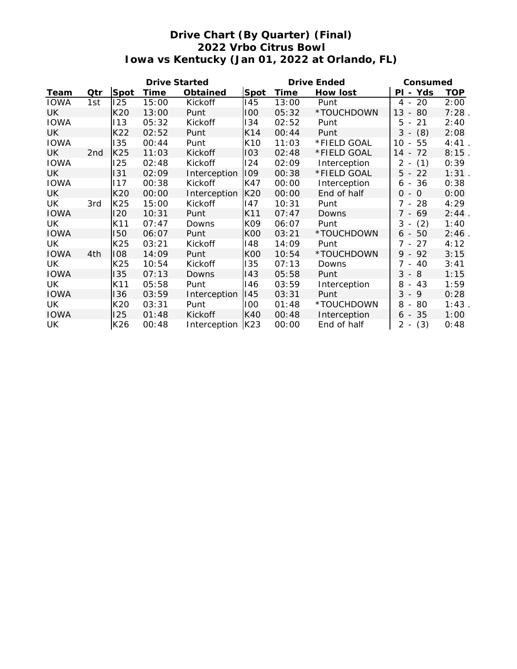# **Drive Chart (By Quarter) (Final) 2022 Vrbo Citrus Bowl Iowa vs Kentucky (Jan 01, 2022 at Orlando, FL)**

|             |     |      | Drive Started |              |                 | Drive Ended | Consumed     |                                                  |            |
|-------------|-----|------|---------------|--------------|-----------------|-------------|--------------|--------------------------------------------------|------------|
| Team        | Qtr | Spot | Time          | Obtained     | Spot            | Time        | How lost     | Yds<br>PI<br>$\sim$                              | <b>TOP</b> |
| <b>IOWA</b> | 1st | 125  | 15:00         | Kickoff      | 145             | 13:00       | Punt         | 20<br>4 -                                        | 2:00       |
| <b>UK</b>   |     | K20  | 13:00         | Punt         | 100             | 05:32       | *TOUCHDOWN   | 13<br>80<br>$\overline{\phantom{a}}$             | 7:28       |
| <b>IOWA</b> |     | 113  | 05:32         | Kickoff      | 134             | 02:52       | Punt         | 5<br>21<br>$\overline{\phantom{a}}$              | 2:40       |
| <b>UK</b>   |     | K22  | 02:52         | Punt         | K14             | 00:44       | Punt         | 3<br>(8)<br>$\overline{\phantom{a}}$             | 2:08       |
| <b>IOWA</b> |     | 135  | 00:44         | Punt         | K <sub>10</sub> | 11:03       | *FIELD GOAL  | 55<br>10<br>$\sim$                               | 4:41       |
| <b>UK</b>   | 2nd | K25  | 11:03         | Kickoff      | 103             | 02:48       | *FIELD GOAL  | $14 -$<br>72                                     | 8:15       |
| <b>IOWA</b> |     | 125  | 02:48         | Kickoff      | 124             | 02:09       | Interception | (1)<br>2<br>$\overline{\phantom{a}}$             | 0:39       |
| <b>UK</b>   |     | 131  | 02:09         | Interception | 109             | 00:38       | *FIELD GOAL  | $5 -$<br>22                                      | 1:31       |
| <b>IOWA</b> |     | 117  | 00:38         | Kickoff      | K47             | 00:00       | Interception | 36<br>6<br>$\overline{\phantom{a}}$              | 0:38       |
| <b>UK</b>   |     | K20  | 00:00         | Interception | K20             | 00:00       | End of half  | 0<br>$\Omega$<br>$\sim$                          | 0:00       |
| UK          | 3rd | K25  | 15:00         | Kickoff      | 147             | 10:31       | Punt         | 7<br>28<br>$\blacksquare$                        | 4:29       |
| <b>IOWA</b> |     | 120  | 10:31         | Punt         | K11             | 07:47       | Downs        | $7 -$<br>69                                      | 2:44       |
| UK          |     | K11  | 07:47         | Downs        | K09             | 06:07       | Punt         | 3<br>(2)<br>$\overline{\phantom{a}}$             | 1:40       |
| <b>IOWA</b> |     | 150  | 06:07         | Punt         | <b>K00</b>      | 03:21       | *TOUCHDOWN   | 50<br>6 -                                        | 2:46       |
| UK.         |     | K25  | 03:21         | Kickoff      | 148             | 14:09       | Punt         | 7<br>27<br>$\overline{\phantom{a}}$              | 4:12       |
| <b>IOWA</b> | 4th | 108  | 14:09         | Punt         | <b>K00</b>      | 10:54       | *TOUCHDOWN   | 9<br>92<br>$\overline{\phantom{a}}$              | 3:15       |
| UK          |     | K25  | 10:54         | Kickoff      | 135             | 07:13       | Downs        | $\overline{7}$<br>40<br>$\overline{\phantom{a}}$ | 3:41       |
| <b>IOWA</b> |     | 135  | 07:13         | Downs        | 143             | 05:58       | Punt         | $3 - 8$                                          | 1:15       |
| UK          |     | K11  | 05:58         | Punt         | 146             | 03:59       | Interception | 8<br>43<br>$\overline{\phantom{a}}$              | 1:59       |
| <b>IOWA</b> |     | 136  | 03:59         | Interception | 145             | 03:31       | Punt         | 3<br>9<br>$\sim$                                 | 0:28       |
| UK          |     | K20  | 03:31         | Punt         | 100             | 01:48       | *TOUCHDOWN   | 8<br>80<br>$\overline{\phantom{a}}$              | 1:43       |
| <b>IOWA</b> |     | 125  | 01:48         | Kickoff      | K40             | 00:48       | Interception | $6 - 35$                                         | 1:00       |
| UK          |     | K26  | 00:48         | Interception | K23             | 00:00       | End of half  | (3)<br>$2 -$                                     | 0:48       |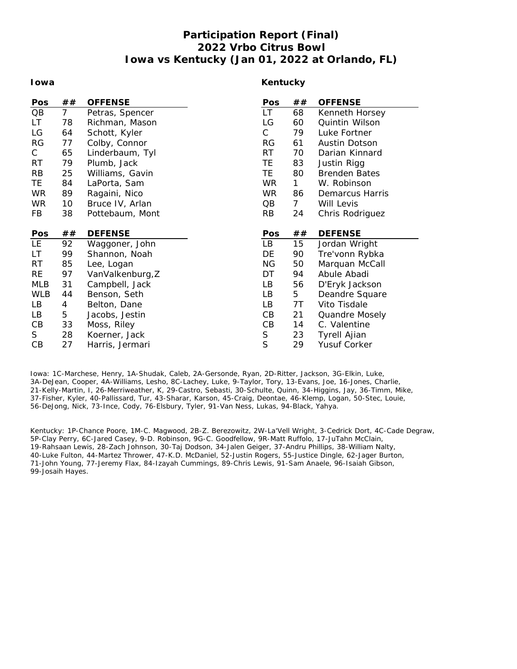## **Participation Report (Final) 2022 Vrbo Citrus Bowl Iowa vs Kentucky (Jan 01, 2022 at Orlando, FL)**

#### **Iowa**

### **Kentucky**

| Pos        | ##             | <b>OFFENSE</b>   | Pos          | ##             | <b>OFFENSE</b>       |
|------------|----------------|------------------|--------------|----------------|----------------------|
| QB         | $\overline{7}$ | Petras, Spencer  | LT.          | 68             | Kenneth Horsey       |
| LT.        | 78             | Richman, Mason   | LG           | 60             | Quintin Wilson       |
| LG         | 64             | Schott, Kyler    | $\mathsf{C}$ | 79             | Luke Fortner         |
| <b>RG</b>  | 77             | Colby, Connor    | RG           | 61             | Austin Dotson        |
| С          | 65             | Linderbaum, Tyl  | RT.          | 70             | Darian Kinnard       |
| <b>RT</b>  | 79             | Plumb, Jack      | TE           | 83             | Justin Rigg          |
| <b>RB</b>  | 25             | Williams, Gavin  | TE           | 80             | <b>Brenden Bates</b> |
| TE         | 84             | LaPorta, Sam     | <b>WR</b>    | 1              | W. Robinson          |
| <b>WR</b>  | 89             | Ragaini, Nico    | <b>WR</b>    | 86             | Demarcus Harris      |
| <b>WR</b>  | 10             | Bruce IV, Arlan  | QB           | 7 <sup>7</sup> | Will Levis           |
| FB         | 38             | Pottebaum, Mont  | <b>RB</b>    | 24             | Chris Rodriguez      |
|            |                |                  |              |                |                      |
| Pos        | ##             | <b>DEFENSE</b>   | Pos          | ##             | <b>DEFENSE</b>       |
| LE.        | 92             | Waggoner, John   | LB           | 15             | Jordan Wright        |
| LT.        | 99             | Shannon, Noah    | DE           | 90             | Tre'vonn Rybka       |
| <b>RT</b>  | 85             | Lee, Logan       | ΝG           | 50             | Marquan McCall       |
| <b>RE</b>  | 97             | VanValkenburg, Z | DT           | 94             | Abule Abadi          |
| <b>MLB</b> | 31             | Campbell, Jack   | LB           | 56             | D'Eryk Jackson       |
| <b>WLB</b> | 44             | Benson, Seth     | LB           | 5              | Deandre Square       |
| LB         | 4              | Belton, Dane     | LB           | 7T             | Vito Tisdale         |
| LB         | 5              | Jacobs, Jestin   | CВ           | 21             | Quandre Mosely       |
| CВ         | 33             | Moss, Riley      | CB           | 14             | C. Valentine         |
| S          | 28             | Koerner, Jack    | $\mathsf S$  | 23             | <b>Tyrell Ajian</b>  |
| CB         | 27             | Harris, Jermari  | S            | 29             | Yusuf Corker         |

Iowa: 1C-Marchese, Henry, 1A-Shudak, Caleb, 2A-Gersonde, Ryan, 2D-Ritter, Jackson, 3G-Elkin, Luke, 3A-DeJean, Cooper, 4A-Williams, Lesho, 8C-Lachey, Luke, 9-Taylor, Tory, 13-Evans, Joe, 16-Jones, Charlie, 21-Kelly-Martin, I, 26-Merriweather, K, 29-Castro, Sebasti, 30-Schulte, Quinn, 34-Higgins, Jay, 36-Timm, Mike, 37-Fisher, Kyler, 40-Pallissard, Tur, 43-Sharar, Karson, 45-Craig, Deontae, 46-Klemp, Logan, 50-Stec, Louie, 56-DeJong, Nick, 73-Ince, Cody, 76-Elsbury, Tyler, 91-Van Ness, Lukas, 94-Black, Yahya.

Kentucky: 1P-Chance Poore, 1M-C. Magwood, 2B-Z. Berezowitz, 2W-La'Vell Wright, 3-Cedrick Dort, 4C-Cade Degraw, 5P-Clay Perry, 6C-Jared Casey, 9-D. Robinson, 9G-C. Goodfellow, 9R-Matt Ruffolo, 17-JuTahn McClain, 19-Rahsaan Lewis, 28-Zach Johnson, 30-Taj Dodson, 34-Jalen Geiger, 37-Andru Phillips, 38-William Nalty, 40-Luke Fulton, 44-Martez Thrower, 47-K.D. McDaniel, 52-Justin Rogers, 55-Justice Dingle, 62-Jager Burton, 71-John Young, 77-Jeremy Flax, 84-Izayah Cummings, 89-Chris Lewis, 91-Sam Anaele, 96-Isaiah Gibson, 99-Josaih Hayes.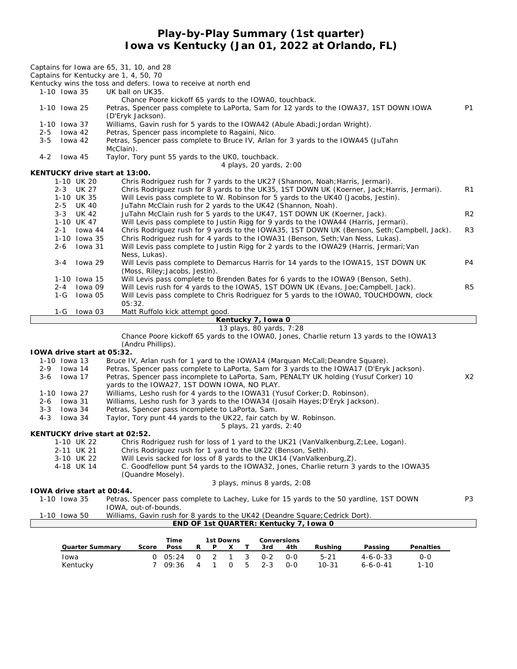**Play-by-Play Summary (1st quarter) Iowa vs Kentucky (Jan 01, 2022 at Orlando, FL)**

| 1-10 Iowa 35                             | Kentucky wins the toss and defers. Iowa to receive at north end<br>UK ball on UK35.                                                                                                |                |
|------------------------------------------|------------------------------------------------------------------------------------------------------------------------------------------------------------------------------------|----------------|
|                                          | Chance Poore kickoff 65 yards to the IOWAO, touchback.                                                                                                                             |                |
| 1-10 Iowa 25                             | Petras, Spencer pass complete to LaPorta, Sam for 12 yards to the IOWA37, 1ST DOWN IOWA<br>(D'Eryk Jackson).                                                                       | <b>P1</b>      |
| 1-10 Iowa 37                             | Williams, Gavin rush for 5 yards to the IOWA42 (Abule Abadi; Jordan Wright).                                                                                                       |                |
| lowa 42<br>$2 - 5$                       | Petras, Spencer pass incomplete to Ragaini, Nico.                                                                                                                                  |                |
| lowa 42<br>$3 - 5$                       | Petras, Spencer pass complete to Bruce IV, Arlan for 3 yards to the IOWA45 (JuTahn                                                                                                 |                |
| $4 - 2$<br>lowa 45                       | McClain).<br>Taylor, Tory punt 55 yards to the UKO, touchback.                                                                                                                     |                |
| KENTUCKY drive start at 13:00.           | 4 plays, 20 yards, 2:00                                                                                                                                                            |                |
| 1-10 UK 20                               | Chris Rodriguez rush for 7 yards to the UK27 (Shannon, Noah; Harris, Jermari).                                                                                                     |                |
| 2-3 UK 27                                | Chris Rodriguez rush for 8 yards to the UK35, 1ST DOWN UK (Koerner, Jack; Harris, Jermari).                                                                                        | R1             |
| 1-10 UK 35                               | Will Levis pass complete to W. Robinson for 5 yards to the UK40 (Jacobs, Jestin).                                                                                                  |                |
| 2-5 UK 40                                | JuTahn McClain rush for 2 yards to the UK42 (Shannon, Noah).                                                                                                                       |                |
| 3-3 UK 42<br>1-10 UK 47                  | JuTahn McClain rush for 5 yards to the UK47, 1ST DOWN UK (Koerner, Jack).<br>Will Levis pass complete to Justin Rigg for 9 yards to the IOWA44 (Harris, Jermari).                  | R <sub>2</sub> |
| lowa 44<br>$2 - 1$                       | Chris Rodriguez rush for 9 yards to the IOWA35, 1ST DOWN UK (Benson, Seth; Campbell, Jack).                                                                                        | R3             |
| 1-10 Iowa 35                             | Chris Rodriguez rush for 4 yards to the IOWA31 (Benson, Seth; Van Ness, Lukas).                                                                                                    |                |
| lowa 31<br>2-6                           | Will Levis pass complete to Justin Rigg for 2 yards to the IOWA29 (Harris, Jermari; Van                                                                                            |                |
|                                          | Ness, Lukas).                                                                                                                                                                      |                |
| lowa 29<br>$3 - 4$                       | Will Levis pass complete to Demarcus Harris for 14 yards to the IOWA15, 1ST DOWN UK<br>(Moss, Riley; Jacobs, Jestin).                                                              | P <sub>4</sub> |
| 1-10 Iowa 15                             | Will Levis pass complete to Brenden Bates for 6 yards to the IOWA9 (Benson, Seth).                                                                                                 |                |
| lowa 09<br>$2 - 4$                       | Will Levis rush for 4 yards to the IOWA5, 1ST DOWN UK (Evans, Joe; Campbell, Jack).                                                                                                | R5             |
| 1-G<br>lowa 05                           | Will Levis pass complete to Chris Rodriguez for 5 yards to the IOWAO, TOUCHDOWN, clock                                                                                             |                |
|                                          | 05:32.                                                                                                                                                                             |                |
| $1-G$<br>lowa 03                         | Matt Ruffolo kick attempt good.<br>Kentucky 7, Iowa 0                                                                                                                              |                |
|                                          | 13 plays, 80 yards, 7:28                                                                                                                                                           |                |
|                                          | Chance Poore kickoff 65 yards to the IOWA0, Jones, Charlie return 13 yards to the IOWA13                                                                                           |                |
|                                          | (Andru Phillips).                                                                                                                                                                  |                |
| IOWA drive start at 05:32.               |                                                                                                                                                                                    |                |
| 1-10 Iowa 13                             | Bruce IV, Arlan rush for 1 yard to the IOWA14 (Marguan McCall; Deandre Square).                                                                                                    |                |
| $2 - 9$<br>lowa 14<br>$3 - 6$<br>Iowa 17 | Petras, Spencer pass complete to LaPorta, Sam for 3 yards to the IOWA17 (D'Eryk Jackson).<br>Petras, Spencer pass incomplete to LaPorta, Sam, PENALTY UK holding (Yusuf Corker) 10 | X2             |
|                                          | yards to the IOWA27, 1ST DOWN IOWA, NO PLAY.                                                                                                                                       |                |
| 1-10 Iowa 27                             | Williams, Lesho rush for 4 yards to the IOWA31 (Yusuf Corker; D. Robinson).                                                                                                        |                |
| 2-6 Iowa 31                              | Williams, Lesho rush for 3 yards to the IOWA34 (Josaih Hayes; D'Eryk Jackson).                                                                                                     |                |
| $3 - 3$<br>lowa 34                       | Petras, Spencer pass incomplete to LaPorta, Sam.                                                                                                                                   |                |
| $4 - 3$<br>lowa 34                       | Taylor, Tory punt 44 yards to the UK22, fair catch by W. Robinson.<br>5 plays, 21 yards, 2:40                                                                                      |                |
| KENTUCKY drive start at 02:52.           |                                                                                                                                                                                    |                |
| 1-10 UK 22                               | Chris Rodriguez rush for loss of 1 yard to the UK21 (VanValkenburg, Z; Lee, Logan).                                                                                                |                |
| 2-11 UK 21                               | Chris Rodriguez rush for 1 yard to the UK22 (Benson, Seth).                                                                                                                        |                |
| 3-10 UK 22                               | Will Levis sacked for loss of 8 yards to the UK14 (VanValkenburg, Z).                                                                                                              |                |
| 4-18 UK 14                               | C. Goodfellow punt 54 yards to the IOWA32, Jones, Charlie return 3 yards to the IOWA35<br>(Quandre Mosely).                                                                        |                |
|                                          | 3 plays, minus 8 yards, 2:08                                                                                                                                                       |                |
| IOWA drive start at 00:44.               |                                                                                                                                                                                    |                |
| 1-10 Iowa 35                             | Petras, Spencer pass complete to Lachey, Luke for 15 yards to the 50 yardline, 1ST DOWN                                                                                            | P3             |
|                                          | IOWA, out-of-bounds.                                                                                                                                                               |                |
| 1-10 Iowa 50                             | Williams, Gavin rush for 8 yards to the UK42 (Deandre Square; Cedrick Dort).<br>END OF 1st QUARTER: Kentucky 7, Iowa 0                                                             |                |

|                 |       | Time        | 1st Downs |  |  | Conversions             |       |           |                  |           |
|-----------------|-------|-------------|-----------|--|--|-------------------------|-------|-----------|------------------|-----------|
| Quarter Summary | Score | <b>Poss</b> | R PX      |  |  | 3rd                     | 4th   | Rushina   | Passing          | Penalties |
| Towa            |       |             |           |  |  | 0 05:24 0 2 1 3 0-2 0-0 |       | $5 - 21$  | $4 - 6 - 0 - 33$ | O-O       |
| Kentucky        |       |             |           |  |  | 7 09:36 4 1 0 5 2-3     | $O-O$ | $10 - 31$ | $6 - 6 - 0 - 41$ | 1-10      |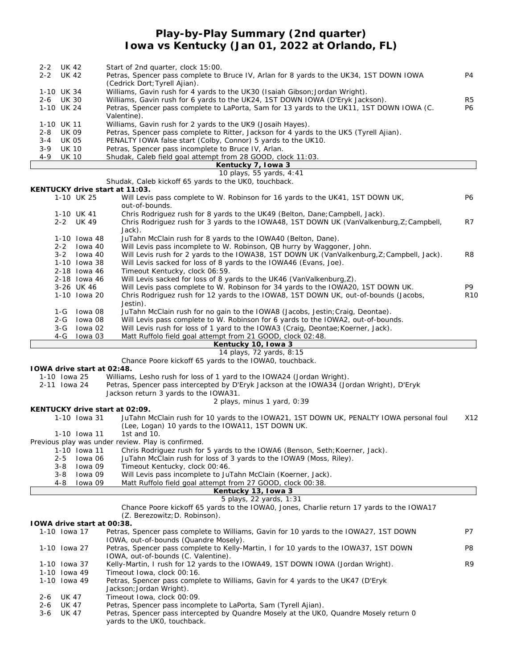### **Play-by-Play Summary (2nd quarter) Iowa vs Kentucky (Jan 01, 2022 at Orlando, FL)**

|              |              |                            | TOWA V3 KUHtaUKY (JAH UT, ZUZZ At UHAHAU, FL)                                                                             |                |
|--------------|--------------|----------------------------|---------------------------------------------------------------------------------------------------------------------------|----------------|
| 2-2 UK 42    |              |                            | Start of 2nd quarter, clock 15:00.                                                                                        |                |
| 2-2 UK 42    |              |                            | Petras, Spencer pass complete to Bruce IV, Arlan for 8 yards to the UK34, 1ST DOWN IOWA<br>(Cedrick Dort; Tyrell Ajian).  | P <sub>4</sub> |
| 1-10 UK 34   |              |                            | Williams, Gavin rush for 4 yards to the UK30 (Isaiah Gibson; Jordan Wright).                                              |                |
| 2-6 UK 30    |              |                            | Williams, Gavin rush for 6 yards to the UK24, 1ST DOWN IOWA (D'Eryk Jackson).                                             | R <sub>5</sub> |
| 1-10 UK 24   |              |                            | Petras, Spencer pass complete to LaPorta, Sam for 13 yards to the UK11, 1ST DOWN IOWA (C.                                 | <b>P6</b>      |
|              |              |                            | Valentine).                                                                                                               |                |
| 1-10 UK 11   |              |                            | Williams, Gavin rush for 2 yards to the UK9 (Josaih Hayes).                                                               |                |
| $2 - 8$      | <b>UK 09</b> |                            | Petras, Spencer pass complete to Ritter, Jackson for 4 yards to the UK5 (Tyrell Ajian).                                   |                |
| $3 - 4$      | UK 05        |                            | PENALTY IOWA false start (Colby, Connor) 5 yards to the UK10.                                                             |                |
| $3 - 9$      | <b>UK 10</b> |                            | Petras, Spencer pass incomplete to Bruce IV, Arlan.                                                                       |                |
| $4 - 9$      | <b>UK 10</b> |                            | Shudak, Caleb field goal attempt from 28 GOOD, clock 11:03.                                                               |                |
|              |              |                            | Kentucky 7, Iowa 3                                                                                                        |                |
|              |              |                            | 10 plays, 55 yards, 4:41                                                                                                  |                |
|              |              |                            | Shudak, Caleb kickoff 65 yards to the UK0, touchback.                                                                     |                |
|              |              |                            | KENTUCKY drive start at 11:03.                                                                                            |                |
|              |              | 1-10 UK 25                 | Will Levis pass complete to W. Robinson for 16 yards to the UK41, 1ST DOWN UK,<br>out-of-bounds.                          | <b>P6</b>      |
|              |              | 1-10 UK 41                 | Chris Rodriguez rush for 8 yards to the UK49 (Belton, Dane; Campbell, Jack).                                              |                |
|              |              | 2-2 UK 49                  | Chris Rodriguez rush for 3 yards to the IOWA48, 1ST DOWN UK (VanValkenburg, Z; Campbell,                                  | R7             |
|              |              |                            | Jack).                                                                                                                    |                |
|              |              | 1-10 Iowa 48               | JuTahn McClain rush for 8 yards to the IOWA40 (Belton, Dane).                                                             |                |
|              |              | 2-2 Iowa 40                | Will Levis pass incomplete to W. Robinson, QB hurry by Waggoner, John.                                                    |                |
|              | $3 - 2$      | Iowa 40                    | Will Levis rush for 2 yards to the IOWA38, 1ST DOWN UK (VanValkenburg, Z; Campbell, Jack).                                | R <sub>8</sub> |
|              |              | 1-10 Iowa 38               | Will Levis sacked for loss of 8 yards to the IOWA46 (Evans, Joe).                                                         |                |
|              |              | 2-18 lowa 46               | Timeout Kentucky, clock 06:59.                                                                                            |                |
|              |              | 2-18 lowa 46               | Will Levis sacked for loss of 8 yards to the UK46 (VanValkenburg, Z).                                                     |                |
|              |              | 3-26 UK 46                 | Will Levis pass complete to W. Robinson for 34 yards to the IOWA20, 1ST DOWN UK.                                          | P9             |
|              |              | 1-10 lowa 20               | Chris Rodriguez rush for 12 yards to the IOWA8, 1ST DOWN UK, out-of-bounds (Jacobs,<br>Jestin).                           | <b>R10</b>     |
|              | 1-G          | Iowa 08                    | JuTahn McClain rush for no gain to the IOWA8 (Jacobs, Jestin; Craig, Deontae).                                            |                |
|              | 2-G          | lowa 08                    | Will Levis pass complete to W. Robinson for 6 yards to the IOWA2, out-of-bounds.                                          |                |
|              | 3-G          | lowa 02                    | Will Levis rush for loss of 1 yard to the IOWA3 (Craig, Deontae; Koerner, Jack).                                          |                |
|              | $4 - G$      | lowa 03                    | Matt Ruffolo field goal attempt from 21 GOOD, clock 02:48.                                                                |                |
|              |              |                            | Kentucky 10, Iowa 3                                                                                                       |                |
|              |              |                            | 14 plays, 72 yards, 8:15                                                                                                  |                |
|              |              |                            | Chance Poore kickoff 65 yards to the IOWAO, touchback.                                                                    |                |
|              |              | TOWA drive start at 02:48. |                                                                                                                           |                |
| 1-10 Iowa 25 |              |                            | Williams, Lesho rush for loss of 1 yard to the IOWA24 (Jordan Wright).                                                    |                |
| 2-11 Iowa 24 |              |                            | Petras, Spencer pass intercepted by D'Eryk Jackson at the IOWA34 (Jordan Wright), D'Eryk                                  |                |
|              |              |                            | Jackson return 3 yards to the IOWA31.                                                                                     |                |
|              |              |                            | 2 plays, minus 1 yard, 0:39                                                                                               |                |
|              |              |                            | KENTUCKY drive start at 02:09.<br>JuTahn McClain rush for 10 yards to the IOWA21, 1ST DOWN UK, PENALTY IOWA personal foul | X12            |
|              |              | 1-10 Iowa 31               |                                                                                                                           |                |

|         |              | (Lee, Logan) 10 yards to the IOWA11, 1ST DOWN UK.                            |
|---------|--------------|------------------------------------------------------------------------------|
|         |              | 1-10 lowa 11 1st and 10.                                                     |
|         |              | Previous play was under review. Play is confirmed.                           |
|         | 1-10 Iowa 11 | Chris Rodriguez rush for 5 yards to the IOWA6 (Benson, Seth; Koerner, Jack). |
| $2 - 5$ | lowa 06      | JuTahn McClain rush for loss of 3 yards to the IOWA9 (Moss, Riley).          |
| 3-8     | lowa 09      | Timeout Kentucky, clock 00:46.                                               |
| 3-8     | lowa 09      | Will Levis pass incomplete to JuTahn McClain (Koerner, Jack).                |
| 4-8     | lowa 09      | Matt Ruffolo field goal attempt from 27 GOOD, clock 00:38.                   |
|         |              | Kentucky 13, Iowa 3                                                          |

*5 plays, 22 yards, 1:31*

Chance Poore kickoff 65 yards to the IOWA0, Jones, Charlie return 17 yards to the IOWA17

# (Z. Berezowitz;D. Robinson).

|         | TOWA drive start at 00:38. |                                                                                        |                |
|---------|----------------------------|----------------------------------------------------------------------------------------|----------------|
|         | 1-10 Iowa 17               | Petras, Spencer pass complete to Williams, Gavin for 10 yards to the IOWA27, 1ST DOWN  | P7             |
|         |                            | IOWA, out-of-bounds (Quandre Mosely).                                                  |                |
|         | 1-10 Iowa 27               | Petras, Spencer pass complete to Kelly-Martin, I for 10 yards to the IOWA37, 1ST DOWN  | P <sub>8</sub> |
|         |                            | IOWA, out-of-bounds (C. Valentine).                                                    |                |
|         | 1-10 Iowa 37               | Kelly-Martin, I rush for 12 yards to the IOWA49, 1ST DOWN IOWA (Jordan Wright).        | R <sub>9</sub> |
|         | 1-10 Iowa 49               | Timeout Iowa, clock 00:16.                                                             |                |
|         | 1-10 Iowa 49               | Petras, Spencer pass complete to Williams, Gavin for 4 yards to the UK47 (D'Eryk       |                |
|         |                            | Jackson; Jordan Wright).                                                               |                |
| $2 - 6$ | UK 47                      | Timeout Iowa, clock 00:09.                                                             |                |
| $2 - 6$ | UK 47                      | Petras, Spencer pass incomplete to LaPorta, Sam (Tyrell Ajian).                        |                |
| 3-6     | UK 47                      | Petras, Spencer pass intercepted by Quandre Mosely at the UKO, Quandre Mosely return 0 |                |
|         |                            | yards to the UKO, touchback.                                                           |                |
|         |                            |                                                                                        |                |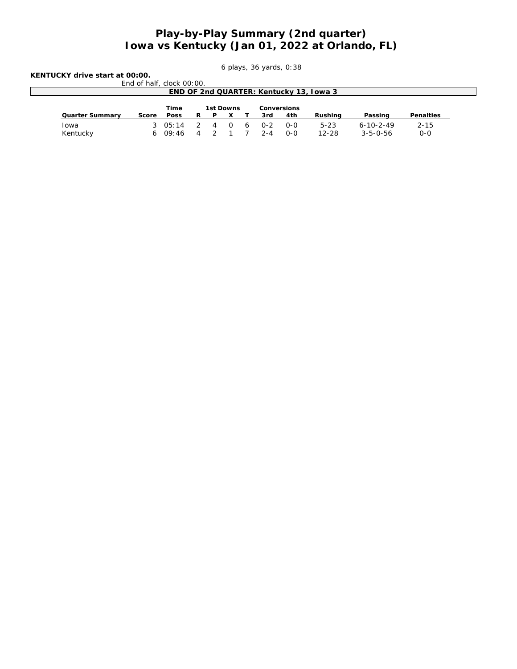### **Play-by-Play Summary (2nd quarter) Iowa vs Kentucky (Jan 01, 2022 at Orlando, FL)**

*6 plays, 36 yards, 0:38*

**KENTUCKY drive start at 00:00.** End of half, clock

| $rk$ $\cap \cap \cdot \cap \cap$ |  |  |
|----------------------------------|--|--|

| END OF 2nd QUARTER: Kentucky 13, Iowa 3 |       |        |                |           |  |  |             |       |         |                   |           |
|-----------------------------------------|-------|--------|----------------|-----------|--|--|-------------|-------|---------|-------------------|-----------|
|                                         |       |        |                |           |  |  |             |       |         |                   |           |
|                                         |       | Time   |                | 1st Downs |  |  | Conversions |       |         |                   |           |
| Quarter Summary                         | Score | Poss   |                |           |  |  | 3rd         | 4th   | Rushina | Passing           | Penalties |
| Iowa                                    |       | 305:14 |                | 2 4 0 6   |  |  | $O - 2$     | $O-O$ | $5-23$  | $6 - 10 - 2 - 49$ | $2 - 15$  |
| Kentucky                                |       | 609:46 | $\overline{4}$ |           |  |  | 2-A         | $O-O$ | 12-28   | $3 - 5 - 0 - 56$  | $O - O$   |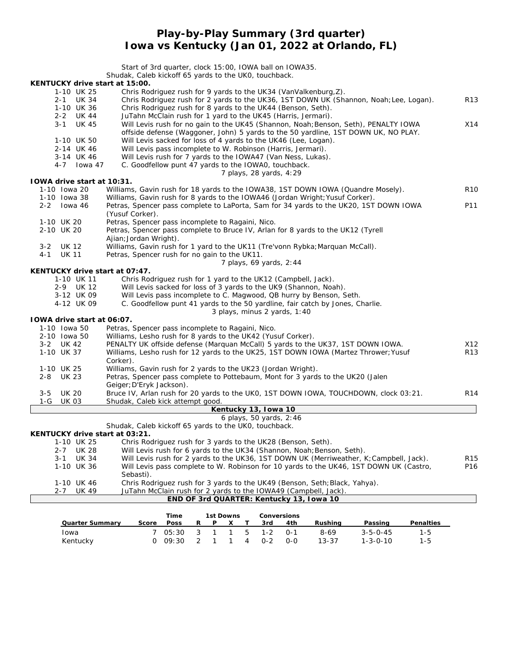### **Play-by-Play Summary (3rd quarter) Iowa vs Kentucky (Jan 01, 2022 at Orlando, FL)**

|                                | Start of 3rd quarter, clock 15:00, IOWA ball on IOWA35.<br>Shudak, Caleb kickoff 65 yards to the UKO, touchback.                                           |                 |
|--------------------------------|------------------------------------------------------------------------------------------------------------------------------------------------------------|-----------------|
| KENTUCKY drive start at 15:00. |                                                                                                                                                            |                 |
| 1-10 UK 25<br>2-1 UK 34        | Chris Rodriguez rush for 9 yards to the UK34 (VanValkenburg, Z).<br>Chris Rodriguez rush for 2 yards to the UK36, 1ST DOWN UK (Shannon, Noah; Lee, Logan). | R13             |
| 1-10 UK 36                     | Chris Rodriguez rush for 8 yards to the UK44 (Benson, Seth).                                                                                               |                 |
| 2-2 UK 44                      | JuTahn McClain rush for 1 yard to the UK45 (Harris, Jermari).                                                                                              |                 |
| $3 - 1$<br>UK 45               | Will Levis rush for no gain to the UK45 (Shannon, Noah; Benson, Seth), PENALTY IOWA                                                                        | X14             |
|                                | offside defense (Waggoner, John) 5 yards to the 50 yardline, 1ST DOWN UK, NO PLAY.                                                                         |                 |
| 1-10 UK 50                     | Will Levis sacked for loss of 4 yards to the UK46 (Lee, Logan).                                                                                            |                 |
| 2-14 UK 46                     | Will Levis pass incomplete to W. Robinson (Harris, Jermari).                                                                                               |                 |
| 3-14 UK 46                     | Will Levis rush for 7 yards to the IOWA47 (Van Ness, Lukas).                                                                                               |                 |
| 4-7 Iowa 47                    | C. Goodfellow punt 47 yards to the IOWAO, touchback.                                                                                                       |                 |
|                                | 7 plays, 28 yards, 4:29                                                                                                                                    |                 |
| TOWA drive start at 10:31.     |                                                                                                                                                            |                 |
| 1-10 Iowa 20                   | Williams, Gavin rush for 18 yards to the IOWA38, 1ST DOWN IOWA (Quandre Mosely).                                                                           | R <sub>10</sub> |
| 1-10 Iowa 38                   | Williams, Gavin rush for 8 yards to the IOWA46 (Jordan Wright; Yusuf Corker).                                                                              |                 |
| $2 - 2$<br>lowa 46             | Petras, Spencer pass complete to LaPorta, Sam for 34 yards to the UK20, 1ST DOWN IOWA                                                                      | P11             |
|                                | (Yusuf Corker).                                                                                                                                            |                 |
| 1-10 UK 20                     | Petras, Spencer pass incomplete to Ragaini, Nico.                                                                                                          |                 |
| 2-10 UK 20                     | Petras, Spencer pass complete to Bruce IV, Arlan for 8 yards to the UK12 (Tyrell                                                                           |                 |
|                                | Ajian; Jordan Wright).                                                                                                                                     |                 |
| <b>UK 12</b><br>$3 - 2$        | Williams, Gavin rush for 1 yard to the UK11 (Tre'vonn Rybka; Marquan McCall).                                                                              |                 |
| $4 - 1$<br><b>UK 11</b>        | Petras, Spencer rush for no gain to the UK11.                                                                                                              |                 |
|                                | 7 plays, 69 yards, 2:44                                                                                                                                    |                 |
| KENTUCKY drive start at 07:47. |                                                                                                                                                            |                 |
| 1-10 UK 11                     | Chris Rodriguez rush for 1 yard to the UK12 (Campbell, Jack).                                                                                              |                 |
| 2-9 UK 12<br>3-12 UK 09        | Will Levis sacked for loss of 3 yards to the UK9 (Shannon, Noah).<br>Will Levis pass incomplete to C. Magwood, QB hurry by Benson, Seth.                   |                 |
| 4-12 UK 09                     | C. Goodfellow punt 41 yards to the 50 yardline, fair catch by Jones, Charlie.                                                                              |                 |
|                                | 3 plays, minus 2 yards, 1:40                                                                                                                               |                 |
| TOWA drive start at 06:07.     |                                                                                                                                                            |                 |
| 1-10 Iowa 50                   | Petras, Spencer pass incomplete to Ragaini, Nico.                                                                                                          |                 |
| 2-10 Iowa 50                   | Williams, Lesho rush for 8 yards to the UK42 (Yusuf Corker).                                                                                               |                 |
| 3-2 UK 42                      | PENALTY UK offside defense (Marquan McCall) 5 yards to the UK37, 1ST DOWN IOWA.                                                                            | X12             |
| 1-10 UK 37                     | Williams, Lesho rush for 12 yards to the UK25, 1ST DOWN IOWA (Martez Thrower; Yusuf                                                                        | R13             |
|                                | Corker).                                                                                                                                                   |                 |
| 1-10 UK 25                     | Williams, Gavin rush for 2 yards to the UK23 (Jordan Wright).                                                                                              |                 |
| $2 - 8$<br><b>UK 23</b>        | Petras, Spencer pass complete to Pottebaum, Mont for 3 yards to the UK20 (Jalen                                                                            |                 |
|                                | Geiger; D'Eryk Jackson).                                                                                                                                   |                 |
| <b>UK 20</b><br>$3 - 5$        | Bruce IV, Arlan rush for 20 yards to the UK0, 1ST DOWN IOWA, TOUCHDOWN, clock 03:21.                                                                       | R <sub>14</sub> |
| 1-G<br><b>UK 03</b>            | Shudak, Caleb kick attempt good.                                                                                                                           |                 |
|                                | Kentucky 13, Iowa 10                                                                                                                                       |                 |
|                                | 6 plays, 50 yards, 2:46                                                                                                                                    |                 |
|                                | Shudak, Caleb kickoff 65 yards to the UKO, touchback.                                                                                                      |                 |
| KENTUCKY drive start at 03:21. |                                                                                                                                                            |                 |
| 1-10 UK 25                     | Chris Rodriguez rush for 3 yards to the UK28 (Benson, Seth).                                                                                               |                 |
| <b>UK 28</b><br>$2 - 7$        | Will Levis rush for 6 yards to the UK34 (Shannon, Noah; Benson, Seth).                                                                                     |                 |
| $3 - 1$<br><b>UK 34</b>        | Will Levis rush for 2 yards to the UK36, 1ST DOWN UK (Merriweather, K; Campbell, Jack).                                                                    | R15             |
| 1-10 UK 36                     | Will Levis pass complete to W. Robinson for 10 yards to the UK46, 1ST DOWN UK (Castro,                                                                     | P16             |
|                                | Sebasti).<br>Chris Rodriguez rush for 3 yards to the UK49 (Benson, Seth; Black, Yahya).                                                                    |                 |
| 1-10 UK 46<br>UK 49<br>2-7     | JuTahn McClain rush for 2 yards to the IOWA49 (Campbell, Jack).                                                                                            |                 |
|                                | END OF 3rd QUARTER: Kentucky 13, Iowa 10                                                                                                                   |                 |
|                                |                                                                                                                                                            |                 |
|                                | <b>Tim</b><br>$1+$ Double                                                                                                                                  |                 |

|                 | Time |  | 1st Downs | Conversions                 |         |                  |           |
|-----------------|------|--|-----------|-----------------------------|---------|------------------|-----------|
| Quarter Summary |      |  |           | Score Poss R P X T 3rd 4th  | Rushina | Passing          | Penalties |
| <b>l</b> owa    |      |  |           | 7 05:30 3 1 1 5 1-2 0-1     | 8-69    | $3 - 5 - 0 - 45$ | 1-5.      |
| Kentucky        |      |  |           | $0.09:30 \t2 1 1 4 0-2 0-0$ | 13-37   | $1 - 3 - 0 - 10$ | 1-5.      |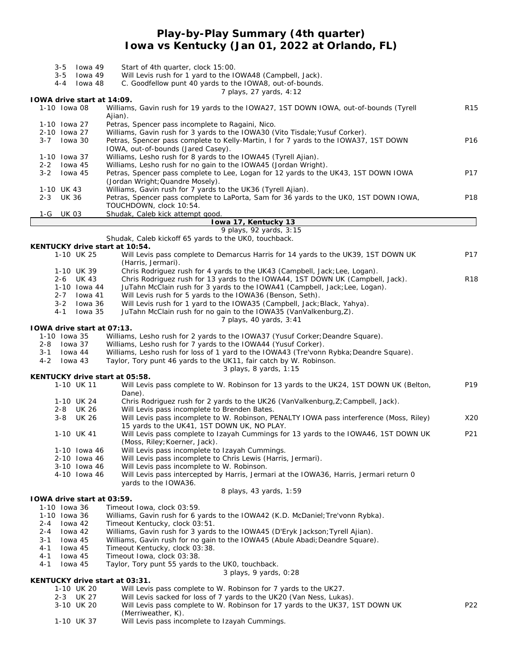### **Play-by-Play Summary (4th quarter) Iowa vs Kentucky (Jan 01, 2022 at Orlando, FL)**

| lowa 49<br>$3 - 5$                       | Start of 4th quarter, clock 15:00.                                                                                                               |                 |
|------------------------------------------|--------------------------------------------------------------------------------------------------------------------------------------------------|-----------------|
| $3 - 5$<br>lowa 49<br>$4 - 4$<br>lowa 48 | Will Levis rush for 1 yard to the IOWA48 (Campbell, Jack).<br>C. Goodfellow punt 40 yards to the IOWA8, out-of-bounds.                           |                 |
|                                          | 7 plays, 27 yards, 4:12                                                                                                                          |                 |
| IOWA drive start at 14:09.               |                                                                                                                                                  |                 |
| 1-10 Iowa 08                             | Williams, Gavin rush for 19 yards to the IOWA27, 1ST DOWN IOWA, out-of-bounds (Tyrell<br>Ajian).                                                 | R <sub>15</sub> |
| 1-10 Iowa 27                             | Petras, Spencer pass incomplete to Ragaini, Nico.                                                                                                |                 |
| 2-10 Iowa 27                             | Williams, Gavin rush for 3 yards to the IOWA30 (Vito Tisdale; Yusuf Corker).                                                                     |                 |
| $3 - 7$<br>lowa 30                       | Petras, Spencer pass complete to Kelly-Martin, I for 7 yards to the IOWA37, 1ST DOWN                                                             | P16             |
| 1-10 Iowa 37                             | IOWA, out-of-bounds (Jared Casey).<br>Williams, Lesho rush for 8 yards to the IOWA45 (Tyrell Ajian).                                             |                 |
| lowa 45<br>2-2                           | Williams, Lesho rush for no gain to the IOWA45 (Jordan Wright).                                                                                  |                 |
| $3 - 2$<br>lowa 45                       | Petras, Spencer pass complete to Lee, Logan for 12 yards to the UK43, 1ST DOWN IOWA                                                              | P17             |
|                                          | (Jordan Wright; Quandre Mosely).                                                                                                                 |                 |
| 1-10 UK 43                               | Williams, Gavin rush for 7 yards to the UK36 (Tyrell Ajian).                                                                                     |                 |
| 2-3 UK 36                                | Petras, Spencer pass complete to LaPorta, Sam for 36 yards to the UKO, 1ST DOWN IOWA,                                                            | P18             |
| 1-G UK 03                                | TOUCHDOWN, clock 10:54.<br>Shudak, Caleb kick attempt good.                                                                                      |                 |
|                                          | Iowa 17, Kentucky 13                                                                                                                             |                 |
|                                          | 9 plays, 92 yards, 3:15                                                                                                                          |                 |
|                                          | Shudak, Caleb kickoff 65 yards to the UKO, touchback.                                                                                            |                 |
| KENTUCKY drive start at 10:54.           |                                                                                                                                                  |                 |
| 1-10 UK 25                               | Will Levis pass complete to Demarcus Harris for 14 yards to the UK39, 1ST DOWN UK<br>(Harris, Jermari).                                          | P17             |
| 1-10 UK 39                               | Chris Rodriguez rush for 4 yards to the UK43 (Campbell, Jack; Lee, Logan).                                                                       |                 |
| 2-6 UK 43                                | Chris Rodriguez rush for 13 yards to the IOWA44, 1ST DOWN UK (Campbell, Jack).                                                                   | <b>R18</b>      |
| 1-10 Iowa 44                             | JuTahn McClain rush for 3 yards to the IOWA41 (Campbell, Jack; Lee, Logan).                                                                      |                 |
| $2 - 7$<br>lowa 41                       | Will Levis rush for 5 yards to the IOWA36 (Benson, Seth).                                                                                        |                 |
| $3 - 2$<br>lowa 36                       | Will Levis rush for 1 yard to the IOWA35 (Campbell, Jack; Black, Yahya).                                                                         |                 |
| $4 - 1$<br>lowa 35                       | JuTahn McClain rush for no gain to the IOWA35 (VanValkenburg, Z).                                                                                |                 |
|                                          | 7 plays, 40 yards, 3:41                                                                                                                          |                 |
| IOWA drive start at 07:13.               |                                                                                                                                                  |                 |
| 1-10 Iowa 35<br>2-8 Iowa 37              | Williams, Lesho rush for 2 yards to the IOWA37 (Yusuf Corker; Deandre Square).<br>Williams, Lesho rush for 7 yards to the IOWA44 (Yusuf Corker). |                 |
| $3 - 1$<br>lowa 44                       | Williams, Lesho rush for loss of 1 yard to the IOWA43 (Tre'vonn Rybka; Deandre Square).                                                          |                 |
| lowa 43<br>4-2                           | Taylor, Tory punt 46 yards to the UK11, fair catch by W. Robinson.                                                                               |                 |
|                                          | 3 plays, 8 yards, 1:15                                                                                                                           |                 |
| KENTUCKY drive start at 05:58.           |                                                                                                                                                  |                 |
| 1-10 UK 11                               | Will Levis pass complete to W. Robinson for 13 yards to the UK24, 1ST DOWN UK (Belton,<br>Dane).                                                 | P <sub>19</sub> |
| 1-10 UK 24                               | Chris Rodriguez rush for 2 yards to the UK26 (VanValkenburg, Z; Campbell, Jack).                                                                 |                 |
| 2-8 UK 26                                | Will Levis pass incomplete to Brenden Bates.                                                                                                     |                 |
| <b>UK 26</b><br>3-8                      | Will Levis pass incomplete to W. Robinson, PENALTY IOWA pass interference (Moss, Riley)<br>15 yards to the UK41, 1ST DOWN UK, NO PLAY.           | X20             |
| 1-10 UK 41                               | Will Levis pass complete to Izayah Cummings for 13 yards to the IOWA46, 1ST DOWN UK                                                              | P21             |
|                                          | (Moss, Riley; Koerner, Jack).                                                                                                                    |                 |
| 1-10 Iowa 46                             | Will Levis pass incomplete to Izayah Cummings.                                                                                                   |                 |
| 2-10 Iowa 46                             | Will Levis pass incomplete to Chris Lewis (Harris, Jermari).                                                                                     |                 |
| 3-10 Iowa 46                             | Will Levis pass incomplete to W. Robinson.                                                                                                       |                 |
| 4-10 Iowa 46                             | Will Levis pass intercepted by Harris, Jermari at the IOWA36, Harris, Jermari return 0                                                           |                 |
|                                          | yards to the IOWA36.                                                                                                                             |                 |
| IOWA drive start at 03:59.               | 8 plays, 43 yards, 1:59                                                                                                                          |                 |
| 1-10 Iowa 36                             | Timeout Iowa, clock 03:59.                                                                                                                       |                 |
| 1-10 Iowa 36                             | Williams, Gavin rush for 6 yards to the IOWA42 (K.D. McDaniel; Tre'vonn Rybka).                                                                  |                 |
| 2-4<br>lowa 42                           | Timeout Kentucky, clock 03:51.                                                                                                                   |                 |
| $2 - 4$<br>lowa 42                       | Williams, Gavin rush for 3 yards to the IOWA45 (D'Eryk Jackson; Tyrell Ajian).                                                                   |                 |
| $3 - 1$<br>lowa 45                       | Williams, Gavin rush for no gain to the IOWA45 (Abule Abadi; Deandre Square).                                                                    |                 |
| 4-1<br>lowa 45                           | Timeout Kentucky, clock 03:38.                                                                                                                   |                 |
| $4 - 1$<br>lowa 45<br>$4 - 1$            | Timeout Iowa, clock 03:38.                                                                                                                       |                 |
| lowa 45                                  | Taylor, Tory punt 55 yards to the UKO, touchback.<br>3 plays, 9 yards, 0:28                                                                      |                 |
| KENTUCKY drive start at 03:31.           |                                                                                                                                                  |                 |
| 1-10 UK 20                               | Will Levis pass complete to W. Robinson for 7 yards to the UK27.                                                                                 |                 |
| 2-3 UK 27                                | Will Levis sacked for loss of 7 yards to the UK20 (Van Ness, Lukas).                                                                             |                 |
| 3-10 UK 20                               | Will Levis pass complete to W. Robinson for 17 yards to the UK37, 1ST DOWN UK                                                                    | P22             |
|                                          | (Merriweather, K).                                                                                                                               |                 |
| 1-10 UK 37                               | Will Levis pass incomplete to Izayah Cummings.                                                                                                   |                 |